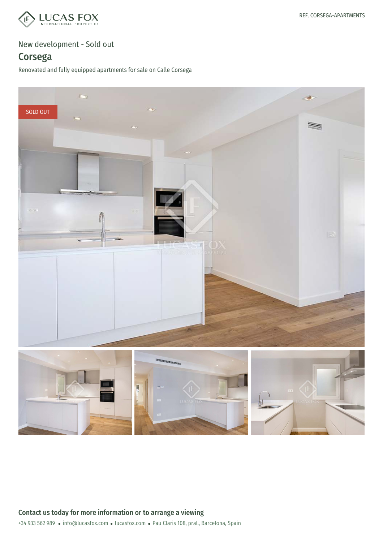

# Corsega

Renovated and fully equipped apartments for sale on Calle Corsega

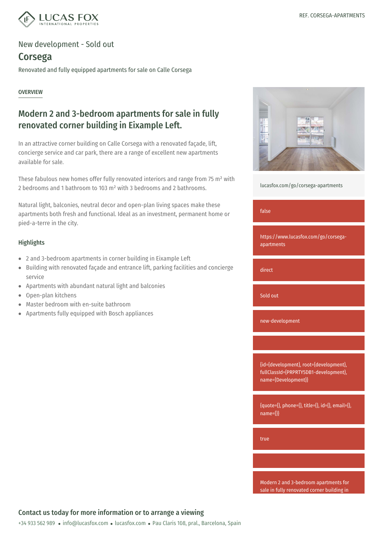

## Corsega

Renovated and fully equipped apartments for sale on Calle Corsega

#### **OVERVIEW**

## Modern 2 and 3-bedroom apartments for sale in fully renovated corner building in Eixample Left.

In an attractive corner building on Calle Corsega with a renovated façade, lift, concierge service and car park, there are a range of excellent new apartments available for sale.

These fabulous new homes offer fully renovated interiors and range from 75 m² with 2 bedrooms and 1 bathroom to 103 m² with 3 bedrooms and 2 bathrooms.

Natural light, balconies, neutral decor and open-plan living spaces make these apartments both fresh and functional. Ideal as an investment, permanent home or pied-a-terre in the city.

### Highlights

- 2 and 3-bedroom apartments in corner building in Eixample Left
- Building with renovated façade and entrance lift, parking facilities and concierge  $\bullet$ service
- Apartments with abundant natural light and balconies
- Open-plan kitchens  $\bullet$
- Master bedroom with en-suite bathroom  $\bullet$
- Apartments fully equipped with Bosch appliances



[lucasfox.com/go/corsega-apartments](https://www.lucasfox.com/go/corsega-apartments)

#### false

https://www.lucasfox.com/go/corsegaapartments

direct

Sold out

new-development

{id={development}, root={development}, fullClassId={PRPRTY5DB1-development}, name={Development}}

 ${$ {quoties}}}, phone={}, title={}, id={}, email={}, name={}}

true

Modern 2 and 3-bedroom apartments for sale in fully renovated corner building in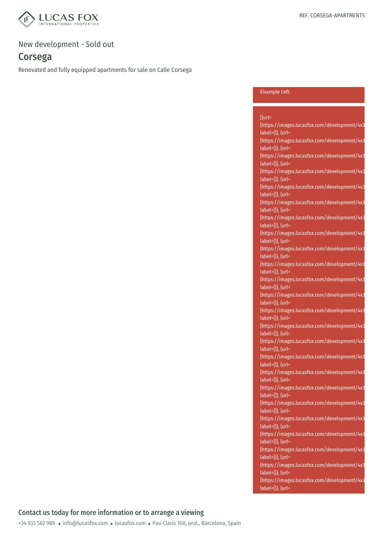

# Corsega

Renovated and fully equipped apartments for sale on Calle Corsega

#### Eixample Left.

| $[$ {url=                                    |
|----------------------------------------------|
| {https://images.lucasfox.com/development/4x3 |
| label={}}, {url=                             |
| {https://images.lucasfox.com/development/4x3 |
| label={}}, {url=                             |
| {https://images.lucasfox.com/development/4x3 |
| label={}}, {url=                             |
| {https://images.lucasfox.com/development/4x3 |
| label={}}, {url=                             |
| {https://images.lucasfox.com/development/4x3 |
| label={}}, {url=                             |
| {https://images.lucasfox.com/development/4x3 |
| label={}}, {url=                             |
| {https://images.lucasfox.com/development/4x3 |
| label={}}, {url=                             |
| {https://images.lucasfox.com/development/4x3 |
| label={}}, {url=                             |
|                                              |
| {https://images.lucasfox.com/development/4x3 |
| label={}}, {url=                             |
| {https://images.lucasfox.com/development/4x3 |
| label={}}, {url=                             |
| {https://images.lucasfox.com/development/4x3 |
| label={}}, {url=                             |
| {https://images.lucasfox.com/development/4x3 |
| label={}}, {url=                             |
| {https://images.lucasfox.com/development/4x3 |
| label={}}, {url=                             |
| {https://images.lucasfox.com/development/4x3 |
| label={}}, {url=                             |
| {https://images.lucasfox.com/development/4x3 |
| label={}}, {url=                             |
| {https://images.lucasfox.com/development/4x3 |
| label={}}, {url=                             |
| {https://images.lucasfox.com/development/4x3 |
| label={}}, {url=                             |
| {https://images.lucasfox.com/development/4x3 |
| label={}}, {url=                             |
| {https://images.lucasfox.com/development/4x3 |
| label={}}, {url=                             |
| {https://images.lucasfox.com/development/4x3 |
| label={}}, {url=                             |
| {https://images.lucasfox.com/development/4x3 |
| label={}}, {url=                             |
| {https://images.lucasfox.com/development/4x3 |
| label={}}, {url=                             |
|                                              |
| {https://images.lucasfox.com/development/4x3 |
| label={}}, {url=                             |
| {https://images.lucasfox.com/development/4x3 |
| label={}}, {url=                             |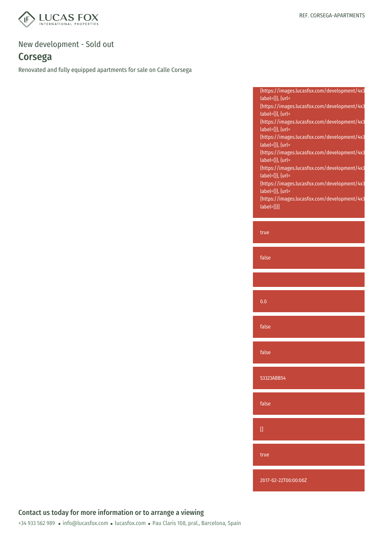

# Corsega

Renovated and fully equipped apartments for sale on Calle Corsega

| {https://images.lucasfox.com/development/4x3 |  |
|----------------------------------------------|--|
| $label={}$ label={}}, {url=                  |  |
| {https://images.lucasfox.com/development/4x3 |  |
| $label={}$ label={}}, {url=                  |  |
| {https://images.lucasfox.com/development/4x3 |  |
| $label={}$ label={}}, {url=                  |  |
| {https://images.lucasfox.com/development/4x3 |  |
| $label={}$ label={}}, {url=                  |  |
| {https://images.lucasfox.com/development/4x3 |  |
| $label={}$ label={}}, {url=                  |  |
| {https://images.lucasfox.com/development/4x3 |  |
| $label={}$ label={}}, {url=                  |  |
| {https://images.lucasfox.com/development/4x3 |  |
| $label={}$ label={}}, {url=                  |  |
| {https://images.lucasfox.com/development/4x3 |  |
| $label={\{\}}$                               |  |
|                                              |  |

true

false

0.0

false

false

53323ABB54

false

true

2017-02-22T00:00:00Z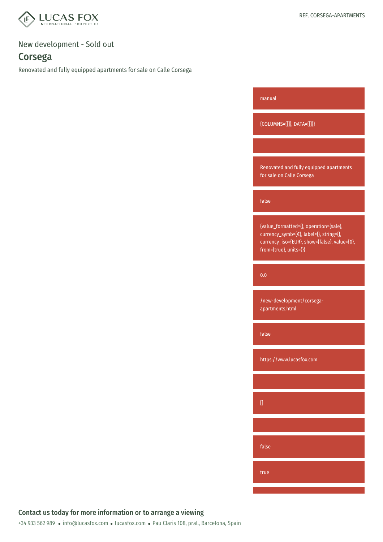

# Corsega

Renovated and fully equipped apartments for sale on Calle Corsega

| manual                                                                                                                                                      |
|-------------------------------------------------------------------------------------------------------------------------------------------------------------|
| {COLUMNS={[]}, DATA={[]}}                                                                                                                                   |
|                                                                                                                                                             |
| Renovated and fully equipped apartments<br>for sale on Calle Corsega                                                                                        |
| false                                                                                                                                                       |
| {value_formatted={}, operation={sale},<br>currency_symb={€}, label={}, string={},<br>currency_iso={EUR}, show={false}, value={0},<br>from={true}, units={}} |
| 0.0                                                                                                                                                         |
| /new-development/corsega-<br>apartments.html                                                                                                                |
| false                                                                                                                                                       |
| https://www.lucasfox.com                                                                                                                                    |
|                                                                                                                                                             |
| O                                                                                                                                                           |
|                                                                                                                                                             |
| false                                                                                                                                                       |
| true                                                                                                                                                        |
|                                                                                                                                                             |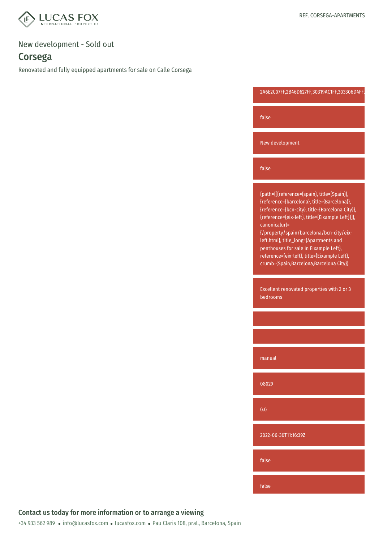

## Corsega

Renovated and fully equipped apartments for sale on Calle Corsega

2A6E2C07FF,2B46D627FF,30319AC1FF,303306D4FF,

false

New development

false

{path={[{reference={spain}, title={Spain}}, {reference={barcelona}, title={Barcelona}}, {reference={bcn-city}, title={Barcelona City}}, {reference={eix-left}, title={Eixample Left}}]}, canonicalurl=

{/property/spain/barcelona/bcn-city/eixleft.html}, title\_long={Apartments and penthouses for sale in Eixample Left}, reference={eix-left}, title={Eixample Left}, crumb={Spain,Barcelona,Barcelona City}}

Excellent renovated properties with 2 or 3 bedrooms

manual

08029

0.0

2022-06-30T11:16:39Z

false

false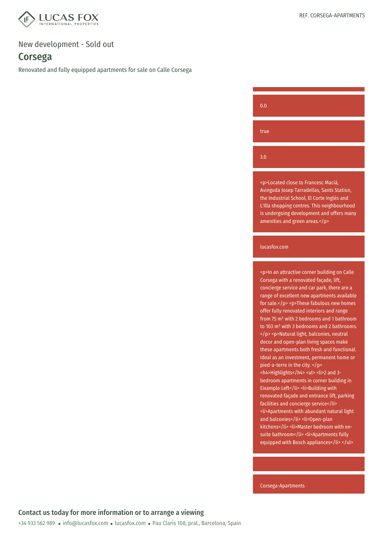

## Corsega

Renovated and fully equipped apartments for sale on Calle Corsega

| 0.0  |  |  |  |
|------|--|--|--|
| true |  |  |  |
| 3.0  |  |  |  |

<p>Located close to Francesc Macià, Avinguda Josep Tarradellas, Sants Station, the Industrial School, El Corte Inglés and L'Illa shopping centres. This neighbourhood is undergoing development and offers many amenities and green areas.</p>

#### lucasfox.com

<p>In an attractive corner building on Calle Corsega with a renovated façade, lift, concierge service and car park, there are a range of excellent new apartments available for sale.</p> <p>These fabulous new homes offer fully renovated interiors and range from 75 m² with 2 bedrooms and 1 bathroom to 103 m² with 3 bedrooms and 2 bathrooms. </p> <p>Natural light, balconies, neutral decor and open-plan living spaces make these apartments both fresh and functional. Ideal as an investment, permanent home or pied-a-terre in the city. </p> <h4>Highlights</h4> <ul> <li>2 and 3 bedroom apartments in corner building in Eixample Left</li><li>Building with renovated façade and entrance lift, parking facilities and concierge service</li> <li>Apartments with abundant natural light and balconies</li><li>Open-plan kitchens</li><li>Master bedroom with ensuite bathroom</li><li>Apartments fully equipped with Bosch appliances</li></ul>

Corsega-Apartments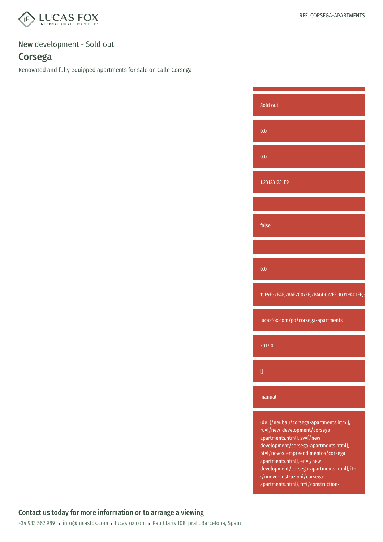

## Corsega

Renovated and fully equipped apartments for sale on Calle Corsega

Sold out 0.0 0.0 1.231231231E9 false 0.0 15F9E32FAF,2A6E2C07FF,2B46D627FF,30319AC1FF,3 lucasfox.com/go/corsega-apartments 2017.0  $[$ manual {de={/neubau/corsega-apartments.html}, ru={/new-development/corsegaapartments.html}, sv={/newdevelopment/corsega-apartments.html}, pt={/novos-empreendimentos/corsegaapartments.html}, en={/newdevelopment/corsega-apartments.html}, it=

> {/nuove-costruzioni/corsegaapartments.html}, fr={/construction-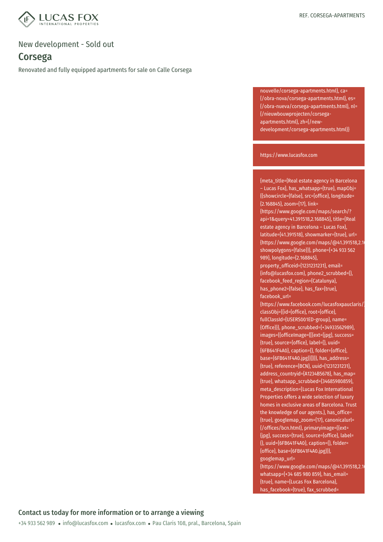

## Corsega

Renovated and fully equipped apartments for sale on Calle Corsega

nouvelle/corsega-apartments.html}, ca= {/obra-nova/corsega-apartments.html}, es= {/obra-nueva/corsega-apartments.html}, nl= {/nieuwbouwprojecten/corsegaapartments.html}, zh={/newdevelopment/corsega-apartments.html}}

#### https://www.lucasfox.com

{meta\_title={Real estate agency in Barcelona – Lucas Fox}, has\_whatsapp={true}, mapObj= {{showcircle={false}, src={office}, longitude= {2.168845}, zoom={17}, link= {https://www.google.com/maps/search/? api=1&query=41.391518,2.168845}, title={Real estate agency in Barcelona – Lucas Fox}, latitude={41.391518}, showmarker={true}, url= {https://www.google.com/maps/@41.391518,2.1 showpolygons={false}}}, phone={+34 933 562 989}, longitude={2.168845}, property\_officeid={1231231231}, email= {info@lucasfox.com}, phone2\_scrubbed={}, facebook\_feed\_region={Catalunya}, has\_phone2={false}, has\_fax={true}, facebook\_url= {https://www.facebook.com/lucasfoxpauclaris/},

classObj={{id={office}, root={office}, fullClassId={USERS001ED-group}, name= {Office}}}, phone\_scrubbed={+34933562989}, images={{officeImage={[{ext={jpg}, success= {true}, source={office}, label={}, uuid= {6FB641F4A0}, caption={}, folder={office}, base={6FB641F4A0.jpg}}]}}}, has\_address= {true}, reference={BCN}, uuid={1231231231}, address\_countryid={A1234B5678}, has\_map= {true}, whatsapp\_scrubbed={34685980859}, meta\_description={Lucas Fox International Properties offers a wide selection of luxury homes in exclusive areas of Barcelona. Trust the knowledge of our agents.}, has\_office= {true}, googlemap\_zoom={17}, canonicalurl= {/offices/bcn.html}, primaryimage={{ext= {jpg}, success={true}, source={office}, label= {}, uuid={6FB641F4A0}, caption={}, folder= {office}, base={6FB641F4A0.jpg}}}, googlemap\_url=

{https://www.google.com/maps/@41.391518,2.1 whatsapp={+34 685 980 859}, has\_email= {true}, name={Lucas Fox Barcelona}, has\_facebook={true}, fax\_scrubbed=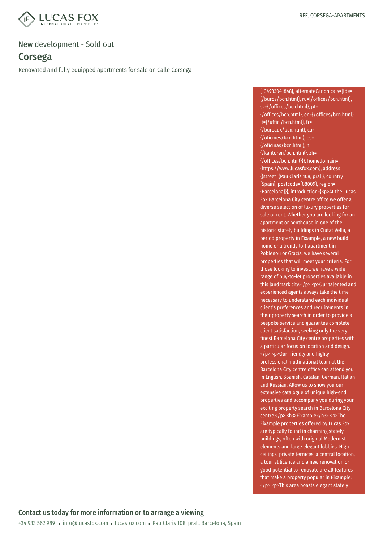

## Corsega

Renovated and fully equipped apartments for sale on Calle Corsega

{+34933041848}, alternateCanonicals={{de= {/buros/bcn.html}, ru={/offices/bcn.html}, sv={/offices/bcn.html}, pt= {/offices/bcn.html}, en={/offices/bcn.html}, it={/uffici/bcn.html}, fr= {/bureaux/bcn.html}, ca= {/oficines/bcn.html}, es= {/oficinas/bcn.html}, nl= {/kantoren/bcn.html}, zh= {/offices/bcn.html}}}, homedomain= {https://www.lucasfox.com}, address= {{street={Pau Claris 108, pral.}, country= {Spain}, postcode={08009}, region= {Barcelona}}}, introduction={<p>At the Lucas Fox Barcelona City centre office we offer a diverse selection of luxury properties for sale or rent. Whether you are looking for an apartment or penthouse in one of the historic stately buildings in Ciutat Vella, a period property in Eixample, a new build home or a trendy loft apartment in Poblenou or Gracia, we have several properties that will meet your criteria. For those looking to invest, we have a wide range of buy-to-let properties available in this landmark city.</p> <p>Our talented and experienced agents always take the time necessary to understand each individual client's preferences and requirements in their property search in order to provide a bespoke service and guarantee complete client satisfaction, seeking only the very finest Barcelona City centre properties with a particular focus on location and design. </p> <p>Our friendly and highly professional multinational team at the Barcelona City centre office can attend you in English, Spanish, Catalan, German, Italian and Russian. Allow us to show you our extensive catalogue of unique high-end properties and accompany you during your exciting property search in Barcelona City centre.</p> <h3>Eixample</h3> <p>The Eixample properties offered by Lucas Fox are typically found in charming stately buildings, often with original Modernist elements and large elegant lobbies. High ceilings, private terraces, a central location, a tourist licence and a new renovation or good potential to renovate are all features that make a property popular in Eixample. </p> <p>This area boasts elegant stately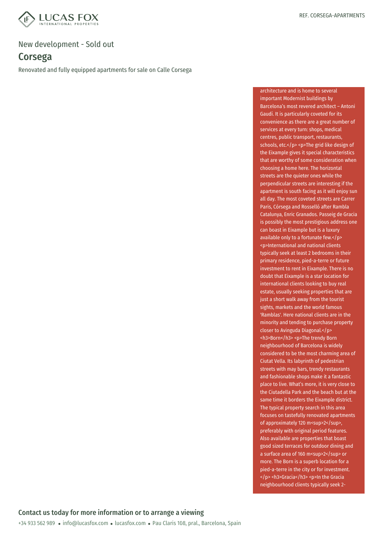

## Corsega

Renovated and fully equipped apartments for sale on Calle Corsega

architecture and is home to several important Modernist buildings by Barcelona's most revered architect – Antoni Gaudí. It is particularly coveted for its convenience as there are a great number of services at every turn: shops, medical centres, public transport, restaurants, schools, etc.</p> <p>The grid like design of the Eixample gives it special characteristics that are worthy of some consideration when choosing a home here. The horizontal streets are the quieter ones while the perpendicular streets are interesting if the apartment is south facing as it will enjoy sun all day. The most coveted streets are Carrer Paris, Córsega and Rosselló after Rambla Catalunya, Enric Granados. Passeig de Gracia is possibly the most prestigious address one can boast in Eixample but is a luxury available only to a fortunate few.</p> <p>International and national clients typically seek at least 2 bedrooms in their primary residence, pied-a-terre or future investment to rent in Eixample. There is no doubt that Eixample is a star location for international clients looking to buy real estate, usually seeking properties that are just a short walk away from the tourist sights, markets and the world famous 'Ramblas'. Here national clients are in the minority and tending to purchase property closer to Avinguda Diagonal.</p> <h3>Born</h3> <p>The trendy Born neighbourhood of Barcelona is widely considered to be the most charming area of Ciutat Vella. Its labyrinth of pedestrian streets with may bars, trendy restaurants and fashionable shops make it a fantastic place to live. What's more, it is very close to the Ciutadella Park and the beach but at the same time it borders the Eixample district. The typical property search in this area focuses on tastefully renovated apartments of approximately 120 m<sup>2</sup>. preferably with original period features. Also available are properties that boast good sized terraces for outdoor dining and a surface area of 160 m<sup>2</sup> or more. The Born is a superb location for a pied-a-terre in the city or for investment. </p> <h3>Gracia</h3> <p>In the Gracia neighbourhood clients typically seek 2-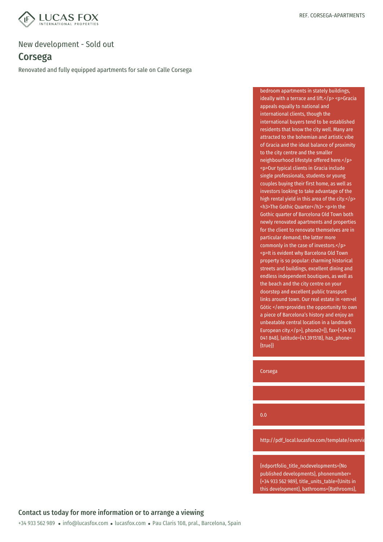

## Corsega

Renovated and fully equipped apartments for sale on Calle Corsega

bedroom apartments in stately buildings, ideally with a terrace and lift.</p> <p>Gracia appeals equally to national and international clients, though the international buyers tend to be established residents that know the city well. Many are attracted to the bohemian and artistic vibe of Gracia and the ideal balance of proximity to the city centre and the smaller neighbourhood lifestyle offered here.</p> <p>Our typical clients in Gracia include single professionals, students or young couples buying their first home, as well as investors looking to take advantage of the high rental yield in this area of the city.</p> <h3>The Gothic Quarter</h3> <p>In the Gothic quarter of Barcelona Old Town both newly renovated apartments and properties for the client to renovate themselves are in particular demand; the latter more commonly in the case of investors.</p> <p>It is evident why Barcelona Old Town property is so popular: charming historical streets and buildings, excellent dining and endless independent boutiques, as well as the beach and the city centre on your doorstep and excellent public transport links around town. Our real estate in <em>el Gótic </em>provides the opportunity to own a piece of Barcelona's history and enjoy an unbeatable central location in a landmark European city.</p>}, phone2={}, fax={+34 933 041 848}, latitude={41.391518}, has\_phone= {true}}

Corsega

0.0

http://pdf\_local.lucasfox.com/template/overvie

{ndportfolio\_title\_nodevelopments={No published developments}, phonenumber= {+34 933 562 989}, title\_units\_table={Units in this development}, bathrooms={Bathrooms},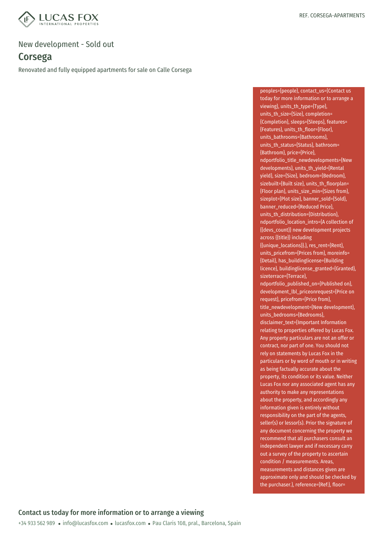

## Corsega

Renovated and fully equipped apartments for sale on Calle Corsega

peoples={people}, contact\_us={Contact us today for more information or to arrange a viewing}, units\_th\_type={Type}, units th\_size={Size}, completion= {Completion}, sleeps={Sleeps}, features= {Features}, units\_th\_floor={Floor}, units\_bathrooms={Bathrooms}, units\_th\_status={Status}, bathroom= {Bathroom}, price={Price}, ndportfolio\_title\_newdevelopments={New developments}, units\_th\_vield={Rental yield}, size={Size}, bedroom={Bedroom}, sizebuilt={Built size}, units\_th\_floorplan= {Floor plan}, units\_size\_min={Sizes from}, sizeplot={Plot size}, banner\_sold={Sold}, banner\_reduced={Reduced Price}, units\_th\_distribution={Distribution}, ndportfolio\_location\_intro={A collection of {{devs\_count}} new development projects across {{title}} including {{unique\_locations}}.}, res\_rent={Rent}, units\_pricefrom={Prices from}, moreinfo= {Detail}, has\_buildinglicense={Building licence}, buildinglicense\_granted={Granted}, sizeterrace={Terrace}, ndportfolio\_published\_on={Published on}, development\_lbl\_priceonrequest={Price on request}, pricefrom={Price from}, title\_newdevelopment={New development}, units\_bedrooms={Bedrooms}, disclaimer\_text={Important Information relating to properties offered by Lucas Fox. Any property particulars are not an offer or contract, nor part of one. You should not rely on statements by Lucas Fox in the particulars or by word of mouth or in writing as being factually accurate about the property, its condition or its value. Neither Lucas Fox nor any associated agent has any authority to make any representations about the property, and accordingly any information given is entirely without responsibility on the part of the agents, seller(s) or lessor(s). Prior the signature of any document concerning the property we recommend that all purchasers consult an independent lawyer and if necessary carry out a survey of the property to ascertain condition / measurements. Areas, measurements and distances given are approximate only and should be checked by the purchaser.}, reference={Ref:}, floor=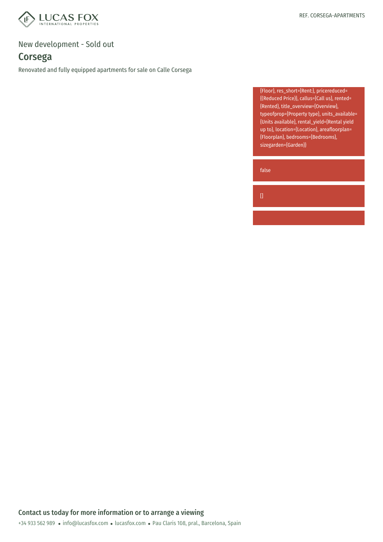

# Corsega

Renovated and fully equipped apartments for sale on Calle Corsega

{Floor}, res\_short={Rent:}, pricereduced= {(Reduced Price)}, callus={Call us}, rented= {Rented}, title\_overview={Overview}, typeofprop={Property type}, units\_available= {Units available}, rental\_yield={Rental yield up to}, location={Location}, areafloorplan= {Floorplan}, bedrooms={Bedrooms}, sizegarden={Garden}}

false

 $[$